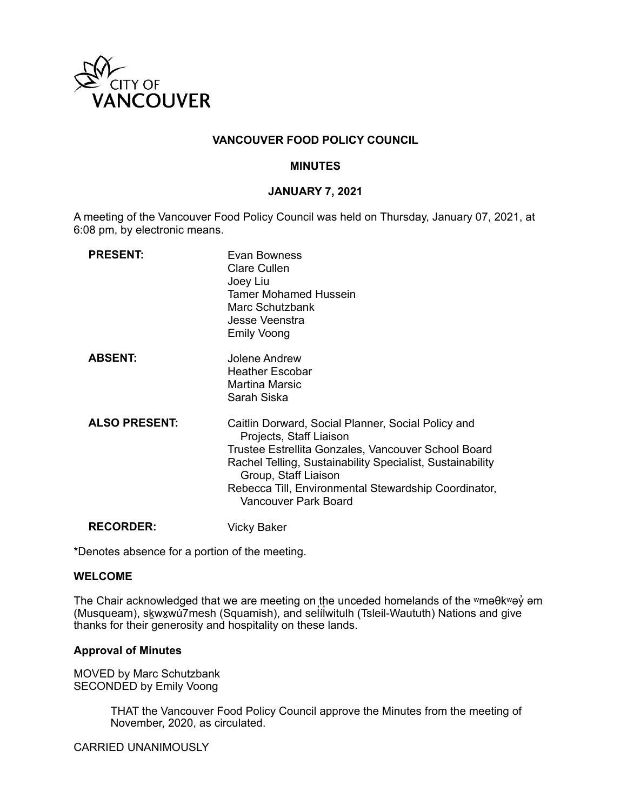

# **VANCOUVER FOOD POLICY COUNCIL**

## **MINUTES**

## **JANUARY 7, 2021**

A meeting of the Vancouver Food Policy Council was held on Thursday, January 07, 2021, at 6:08 pm, by electronic means.

| <b>PRESENT:</b>      | Evan Bowness<br>Clare Cullen<br>Joey Liu<br><b>Tamer Mohamed Hussein</b><br>Marc Schutzbank<br>Jesse Veenstra<br><b>Emily Voong</b>                                                                                                                                                                       |
|----------------------|-----------------------------------------------------------------------------------------------------------------------------------------------------------------------------------------------------------------------------------------------------------------------------------------------------------|
| <b>ABSENT:</b>       | Jolene Andrew<br><b>Heather Escobar</b><br>Martina Marsic<br>Sarah Siska                                                                                                                                                                                                                                  |
| <b>ALSO PRESENT:</b> | Caitlin Dorward, Social Planner, Social Policy and<br>Projects, Staff Liaison<br>Trustee Estrellita Gonzales, Vancouver School Board<br>Rachel Telling, Sustainability Specialist, Sustainability<br>Group, Staff Liaison<br>Rebecca Till, Environmental Stewardship Coordinator,<br>Vancouver Park Board |
| <b>RECORDER:</b>     | Vicky Baker                                                                                                                                                                                                                                                                                               |

\*Denotes absence for a portion of the meeting.

### **WELCOME**

The Chair acknowledged that we are meeting on the unceded homelands of the wma $\theta$ kway' am (Musqueam), skౖwx̯wú7mesh (Squamish), and sel̓ílwitulh (Tsleil-Waututh) Nations and give thanks for their generosity and hospitality on these lands.

### **Approval of Minutes**

MOVED by Marc Schutzbank SECONDED by Emily Voong

> THAT the Vancouver Food Policy Council approve the Minutes from the meeting of November, 2020, as circulated.

CARRIED UNANIMOUSLY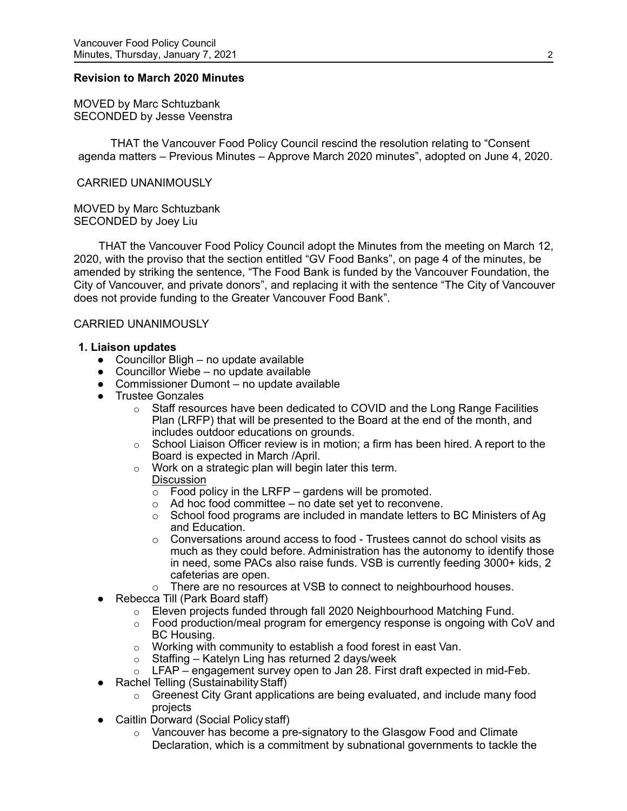#### **Revision to March 2020 Minutes**

MOVED by Marc Schtuzbank SECONDED by Jesse Veenstra

THAT the Vancouver Food Policy Council rescind the resolution relating to "Consent agenda matters – Previous Minutes – Approve March 2020 minutes", adopted on June 4, 2020.

#### CARRIED UNANIMOUSLY

MOVED by Marc Schtuzbank SECONDED by Joey Liu

 THAT the Vancouver Food Policy Council adopt the Minutes from the meeting on March 12, 2020, with the proviso that the section entitled "GV Food Banks", on page 4 of the minutes, be amended by striking the sentence, "The Food Bank is funded by the Vancouver Foundation, the City of Vancouver, and private donors", and replacing it with the sentence "The City of Vancouver does not provide funding to the Greater Vancouver Food Bank".

#### CARRIED UNANIMOUSLY

#### **1. Liaison updates**

- $\bullet$  Councillor Bligh no update available
- $\bullet$  Councillor Wiebe no update available
- Commissioner Dumont no update available
- Trustee Gonzales
	- $\circ$  Staff resources have been dedicated to COVID and the Long Range Facilities Plan (LRFP) that will be presented to the Board at the end of the month, and includes outdoor educations on grounds.
	- $\circ$  School Liaison Officer review is in motion; a firm has been hired. A report to the Board is expected in March /April.
	- $\circ$  Work on a strategic plan will begin later this term. **Discussion** 
		- $\overline{\circ}$  Food policy in the LRFP gardens will be promoted.
		- $\circ$  Ad hoc food committee no date set yet to reconvene.
		- $\circ$  School food programs are included in mandate letters to BC Ministers of Ag and Education.
		- $\circ$  Conversations around access to food Trustees cannot do school visits as much as they could before. Administration has the autonomy to identify those in need, some PACs also raise funds. VSB is currently feeding 3000+ kids, 2 cafeterias are open.
		- o There are no resources at VSB to connect to neighbourhood houses.
- Rebecca Till (Park Board staff)
	- o Eleven projects funded through fall 2020 Neighbourhood Matching Fund.
	- $\circ$  Food production/meal program for emergency response is ongoing with CoV and BC Housing.
	- $\circ$  Working with community to establish a food forest in east Van.
	- $\circ$  Staffing Katelyn Ling has returned 2 days/week
	- $\circ$  LFAP engagement survey open to Jan 28. First draft expected in mid-Feb.
- Rachel Telling (Sustainability Staff)
	- $\circ$  Greenest City Grant applications are being evaluated, and include many food projects
- Caitlin Dorward (Social Policy staff)
	- $\circ$  Vancouver has become a pre-signatory to the Glasgow Food and Climate Declaration, which is a commitment by subnational governments to tackle the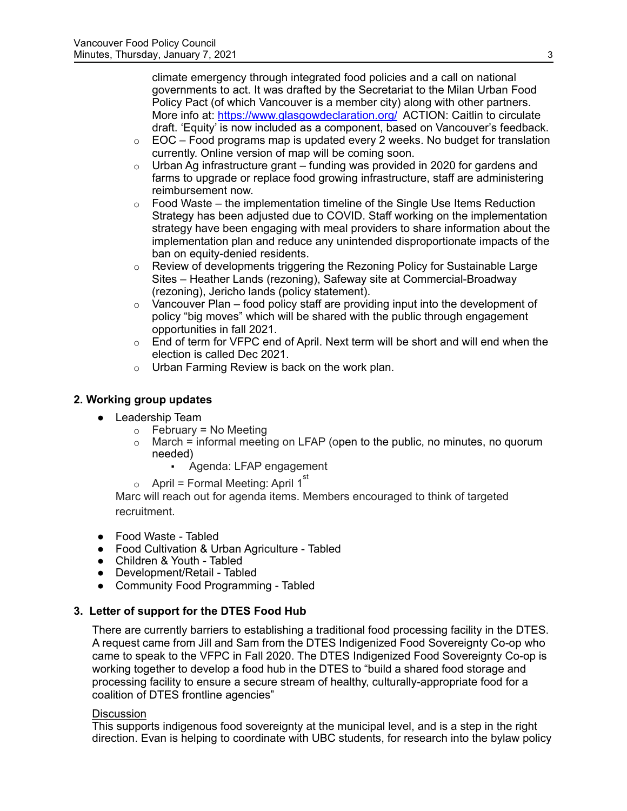climate emergency through integrated food policies and a call on national governments to act. It was drafted by the Secretariat to the Milan Urban Food Policy Pact (of which Vancouver is a member city) along with other partners. More info at:<https://www.glasgowdeclaration.org/> ACTION: Caitlin to circulate draft. 'Equity' is now included as a component, based on Vancouver's feedback.

- $\circ$  EOC Food programs map is updated every 2 weeks. No budget for translation currently. Online version of map will be coming soon.
- $\circ$  Urban Ag infrastructure grant funding was provided in 2020 for gardens and farms to upgrade or replace food growing infrastructure, staff are administering reimbursement now.
- $\circ$  Food Waste the implementation timeline of the Single Use Items Reduction Strategy has been adjusted due to COVID. Staff working on the implementation strategy have been engaging with meal providers to share information about the implementation plan and reduce any unintended disproportionate impacts of the ban on equity-denied residents.
- $\circ$  Review of developments triggering the Rezoning Policy for Sustainable Large Sites – Heather Lands (rezoning), Safeway site at Commercial-Broadway (rezoning), Jericho lands (policy statement).
- $\circ$  Vancouver Plan food policy staff are providing input into the development of policy "big moves" which will be shared with the public through engagement opportunities in fall 2021.
- $\circ$  End of term for VFPC end of April. Next term will be short and will end when the election is called Dec 2021.
- $\circ$  Urban Farming Review is back on the work plan.

# **2. Working group updates**

- Leadership Team
	- $\circ$  February = No Meeting
	- $\circ$  March = informal meeting on LFAP (open to the public, no minutes, no quorum needed)
		- Agenda: LFAP engagement
	- $\circ$  April = Formal Meeting: April 1 $^{\rm st}$

Marc will reach out for agenda items. Members encouraged to think of targeted recruitment.

- Food Waste Tabled
- Food Cultivation & Urban Agriculture Tabled
- Children & Youth Tabled
- Development/Retail Tabled
- Community Food Programming Tabled

# **3. Letter of support for the DTES Food Hub**

There are currently barriers to establishing a traditional food processing facility in the DTES. A request came from Jill and Sam from the DTES Indigenized Food Sovereignty Co-op who came to speak to the VFPC in Fall 2020. The DTES Indigenized Food Sovereignty Co-op is working together to develop a food hub in the DTES to "build a shared food storage and processing facility to ensure a secure stream of healthy, culturally-appropriate food for a coalition of DTES frontline agencies"

### **Discussion**

This supports indigenous food sovereignty at the municipal level, and is a step in the right direction. Evan is helping to coordinate with UBC students, for research into the bylaw policy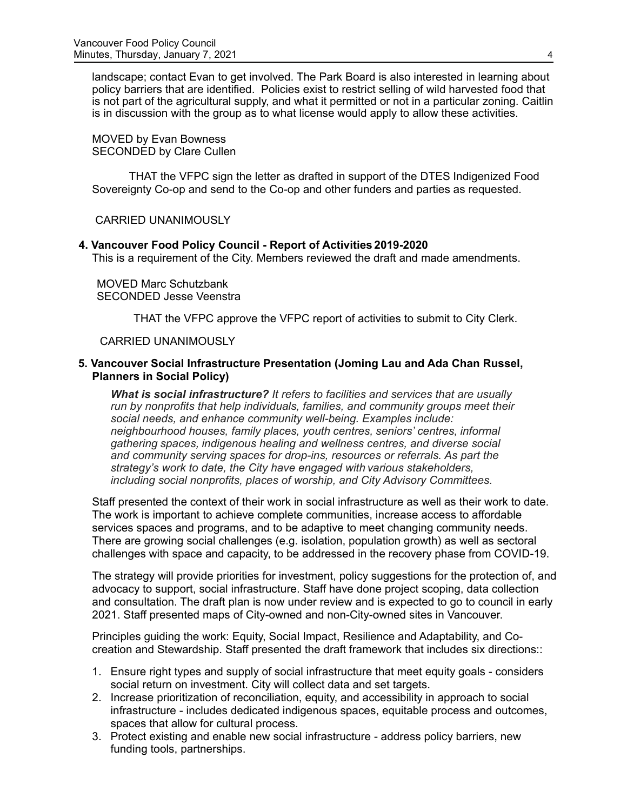landscape; contact Evan to get involved. The Park Board is also interested in learning about policy barriers that are identified. Policies exist to restrict selling of wild harvested food that is not part of the agricultural supply, and what it permitted or not in a particular zoning. Caitlin is in discussion with the group as to what license would apply to allow these activities.

MOVED by Evan Bowness SECONDED by Clare Cullen

THAT the VFPC sign the letter as drafted in support of the DTES Indigenized Food Sovereignty Co-op and send to the Co-op and other funders and parties as requested.

CARRIED UNANIMOUSLY

#### **4. Vancouver Food Policy Council - Report of Activities 2019-2020**

This is a requirement of the City. Members reviewed the draft and made amendments.

MOVED Marc Schutzbank SECONDED Jesse Veenstra

THAT the VFPC approve the VFPC report of activities to submit to City Clerk.

#### CARRIED UNANIMOUSLY

### **5. Vancouver Social Infrastructure Presentation (Joming Lau and Ada Chan Russel, Planners in Social Policy)**

*What is social infrastructure? It refers to facilities and services that are usually run by nonprofits that help individuals, families, and community groups meet their social needs, and enhance community well-being. Examples include: neighbourhood houses, family places, youth centres, seniors' centres, informal gathering spaces, indigenous healing and wellness centres, and diverse social and community serving spaces for drop-ins, resources or referrals. As part the strategy's work to date, the City have engaged with various stakeholders, including social nonprofits, places of worship, and City Advisory Committees.*

Staff presented the context of their work in social infrastructure as well as their work to date. The work is important to achieve complete communities, increase access to affordable services spaces and programs, and to be adaptive to meet changing community needs. There are growing social challenges (e.g. isolation, population growth) as well as sectoral challenges with space and capacity, to be addressed in the recovery phase from COVID-19.

The strategy will provide priorities for investment, policy suggestions for the protection of, and advocacy to support, social infrastructure. Staff have done project scoping, data collection and consultation. The draft plan is now under review and is expected to go to council in early 2021. Staff presented maps of City-owned and non-City-owned sites in Vancouver.

Principles guiding the work: Equity, Social Impact, Resilience and Adaptability, and Cocreation and Stewardship. Staff presented the draft framework that includes six directions::

- 1. Ensure right types and supply of social infrastructure that meet equity goals considers social return on investment. City will collect data and set targets.
- 2. Increase prioritization of reconciliation, equity, and accessibility in approach to social infrastructure - includes dedicated indigenous spaces, equitable process and outcomes, spaces that allow for cultural process.
- 3. Protect existing and enable new social infrastructure address policy barriers, new funding tools, partnerships.